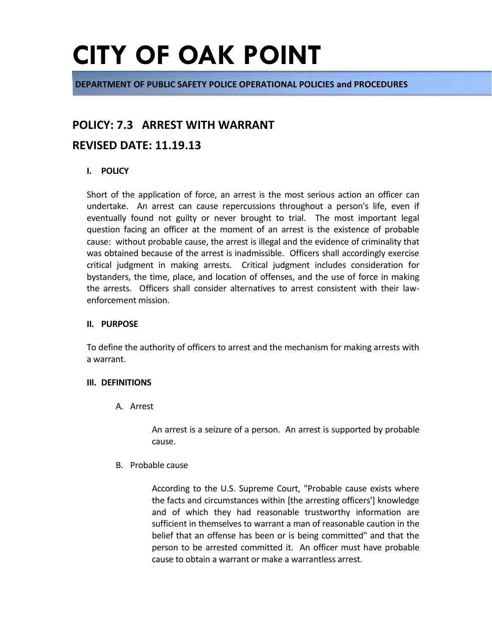**DEPARTMENT OF PUBLIC SAFETY POLICE OPERATIONAL POLICIES and PROCEDURES**

### **POLICY: 7.3 ARREST WITH WARRANT**

### **REVISED DATE: 11.19.13**

### **I. POLICY**

Short of the application of force, an arrest is the most serious action an officer can undertake. An arrest can cause repercussions throughout a person's life, even if eventually found not guilty or never brought to trial. The most important legal question facing an officer at the moment of an arrest is the existence of probable cause: without probable cause, the arrest is illegal and the evidence of criminality that was obtained because of the arrest is inadmissible. Officers shall accordingly exercise critical judgment in making arrests. Critical judgment includes consideration for bystanders, the time, place, and location of offenses, and the use of force in making the arrests. Officers shall consider alternatives to arrest consistent with their lawenforcement mission.

#### **II. PURPOSE**

To define the authority of officers to arrest and the mechanism for making arrests with a warrant.

#### **III. DEFINITIONS**

A. Arrest

An arrest is a seizure of a person. An arrest is supported by probable cause.

B. Probable cause

According to the U.S. Supreme Court, "Probable cause exists where the facts and circumstances within [the arresting officers'] knowledge and of which they had reasonable trustworthy information are sufficient in themselves to warrant a man of reasonable caution in the belief that an offense has been or is being committed" and that the person to be arrested committed it. An officer must have probable cause to obtain a warrant or make a warrantless arrest.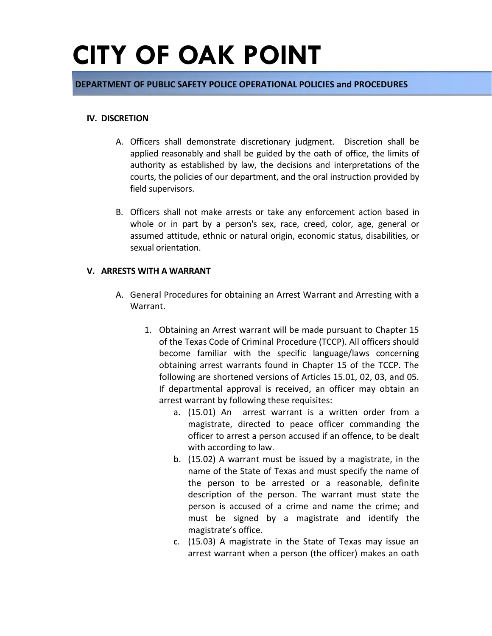#### **DEPARTMENT OF PUBLIC SAFETY POLICE OPERATIONAL POLICIES and PROCEDURES**

#### **IV. DISCRETION**

- A. Officers shall demonstrate discretionary judgment. Discretion shall be applied reasonably and shall be guided by the oath of office, the limits of authority as established by law, the decisions and interpretations of the courts, the policies of our department, and the oral instruction provided by field supervisors.
- B. Officers shall not make arrests or take any enforcement action based in whole or in part by a person's sex, race, creed, color, age, general or assumed attitude, ethnic or natural origin, economic status, disabilities, or sexual orientation.

#### **V. ARRESTS WITH A WARRANT**

- A. General Procedures for obtaining an Arrest Warrant and Arresting with a Warrant.
	- 1. Obtaining an Arrest warrant will be made pursuant to Chapter 15 of the Texas Code of Criminal Procedure (TCCP). All officers should become familiar with the specific language/laws concerning obtaining arrest warrants found in Chapter 15 of the TCCP. The following are shortened versions of Articles 15.01, 02, 03, and 05. If departmental approval is received, an officer may obtain an arrest warrant by following these requisites:
		- a. (15.01) An arrest warrant is a written order from a magistrate, directed to peace officer commanding the officer to arrest a person accused if an offence, to be dealt with according to law.
		- b. (15.02) A warrant must be issued by a magistrate, in the name of the State of Texas and must specify the name of the person to be arrested or a reasonable, definite description of the person. The warrant must state the person is accused of a crime and name the crime; and must be signed by a magistrate and identify the magistrate's office.
		- c. (15.03) A magistrate in the State of Texas may issue an arrest warrant when a person (the officer) makes an oath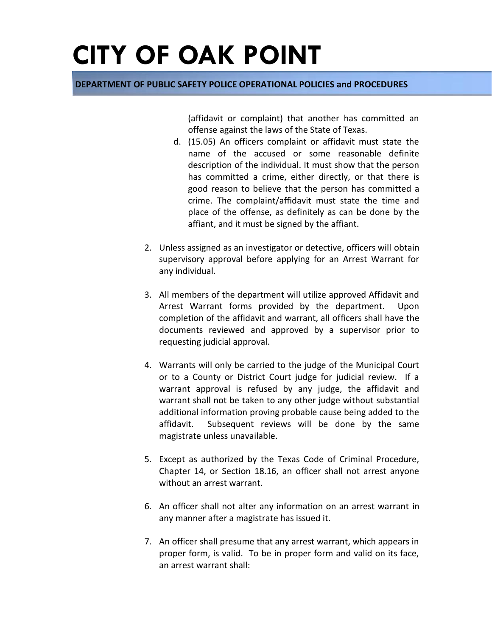#### **DEPARTMENT OF PUBLIC SAFETY POLICE OPERATIONAL POLICIES and PROCEDURES**

(affidavit or complaint) that another has committed an offense against the laws of the State of Texas.

- d. (15.05) An officers complaint or affidavit must state the name of the accused or some reasonable definite description of the individual. It must show that the person has committed a crime, either directly, or that there is good reason to believe that the person has committed a crime. The complaint/affidavit must state the time and place of the offense, as definitely as can be done by the affiant, and it must be signed by the affiant.
- 2. Unless assigned as an investigator or detective, officers will obtain supervisory approval before applying for an Arrest Warrant for any individual.
- 3. All members of the department will utilize approved Affidavit and Arrest Warrant forms provided by the department. Upon completion of the affidavit and warrant, all officers shall have the documents reviewed and approved by a supervisor prior to requesting judicial approval.
- 4. Warrants will only be carried to the judge of the Municipal Court or to a County or District Court judge for judicial review. If a warrant approval is refused by any judge, the affidavit and warrant shall not be taken to any other judge without substantial additional information proving probable cause being added to the affidavit. Subsequent reviews will be done by the same magistrate unless unavailable.
- 5. Except as authorized by the Texas Code of Criminal Procedure, Chapter 14, or Section 18.16, an officer shall not arrest anyone without an arrest warrant.
- 6. An officer shall not alter any information on an arrest warrant in any manner after a magistrate has issued it.
- 7. An officer shall presume that any arrest warrant, which appears in proper form, is valid. To be in proper form and valid on its face, an arrest warrant shall: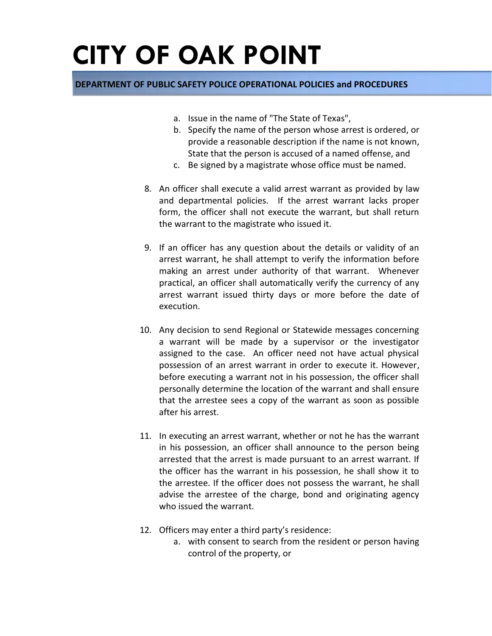- a. Issue in the name of "The State of Texas",
- b. Specify the name of the person whose arrest is ordered, or provide a reasonable description if the name is not known, State that the person is accused of a named offense, and
- c. Be signed by a magistrate whose office must be named.
- 8. An officer shall execute a valid arrest warrant as provided by law and departmental policies. If the arrest warrant lacks proper form, the officer shall not execute the warrant, but shall return the warrant to the magistrate who issued it.
- 9. If an officer has any question about the details or validity of an arrest warrant, he shall attempt to verify the information before making an arrest under authority of that warrant. Whenever practical, an officer shall automatically verify the currency of any arrest warrant issued thirty days or more before the date of execution.
- 10. Any decision to send Regional or Statewide messages concerning a warrant will be made by a supervisor or the investigator assigned to the case. An officer need not have actual physical possession of an arrest warrant in order to execute it. However, before executing a warrant not in his possession, the officer shall personally determine the location of the warrant and shall ensure that the arrestee sees a copy of the warrant as soon as possible after his arrest.
- 11. In executing an arrest warrant, whether or not he has the warrant in his possession, an officer shall announce to the person being arrested that the arrest is made pursuant to an arrest warrant. If the officer has the warrant in his possession, he shall show it to the arrestee. If the officer does not possess the warrant, he shall advise the arrestee of the charge, bond and originating agency who issued the warrant.
- 12. Officers may enter a third party's residence:
	- a. with consent to search from the resident or person having control of the property, or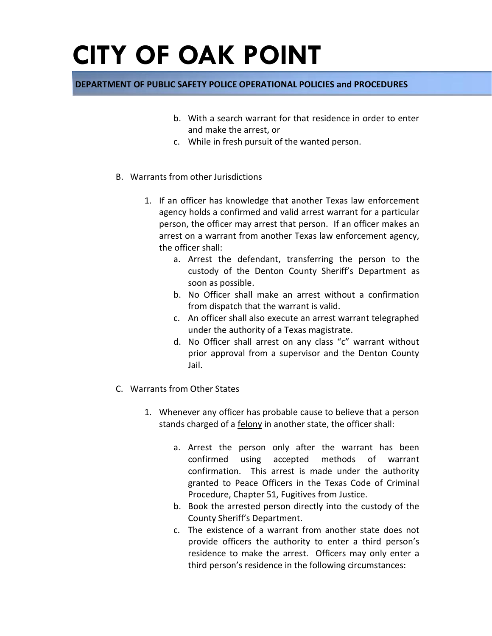- b. With a search warrant for that residence in order to enter and make the arrest, or
- c. While in fresh pursuit of the wanted person.
- B. Warrants from other Jurisdictions
	- 1. If an officer has knowledge that another Texas law enforcement agency holds a confirmed and valid arrest warrant for a particular person, the officer may arrest that person. If an officer makes an arrest on a warrant from another Texas law enforcement agency, the officer shall:
		- a. Arrest the defendant, transferring the person to the custody of the Denton County Sheriff's Department as soon as possible.
		- b. No Officer shall make an arrest without a confirmation from dispatch that the warrant is valid.
		- c. An officer shall also execute an arrest warrant telegraphed under the authority of a Texas magistrate.
		- d. No Officer shall arrest on any class "c" warrant without prior approval from a supervisor and the Denton County Jail.
- C. Warrants from Other States
	- 1. Whenever any officer has probable cause to believe that a person stands charged of a felony in another state, the officer shall:
		- a. Arrest the person only after the warrant has been confirmed using accepted methods of warrant confirmation. This arrest is made under the authority granted to Peace Officers in the Texas Code of Criminal Procedure, Chapter 51, Fugitives from Justice.
		- b. Book the arrested person directly into the custody of the County Sheriff's Department.
		- c. The existence of a warrant from another state does not provide officers the authority to enter a third person's residence to make the arrest. Officers may only enter a third person's residence in the following circumstances: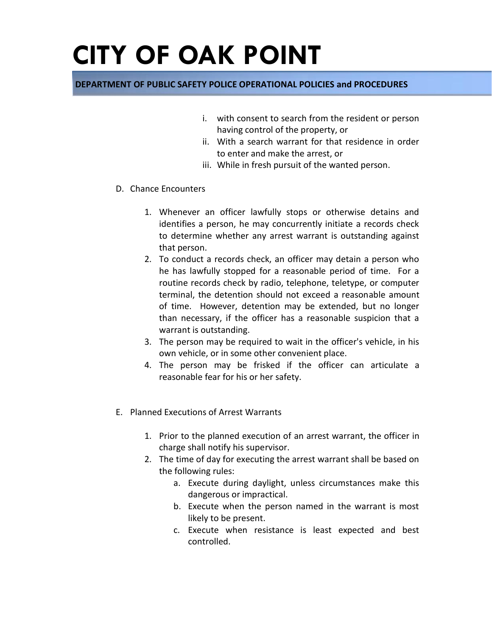- i. with consent to search from the resident or person having control of the property, or
- ii. With a search warrant for that residence in order to enter and make the arrest, or
- iii. While in fresh pursuit of the wanted person.
- D. Chance Encounters
	- 1. Whenever an officer lawfully stops or otherwise detains and identifies a person, he may concurrently initiate a records check to determine whether any arrest warrant is outstanding against that person.
	- 2. To conduct a records check, an officer may detain a person who he has lawfully stopped for a reasonable period of time. For a routine records check by radio, telephone, teletype, or computer terminal, the detention should not exceed a reasonable amount of time. However, detention may be extended, but no longer than necessary, if the officer has a reasonable suspicion that a warrant is outstanding.
	- 3. The person may be required to wait in the officer's vehicle, in his own vehicle, or in some other convenient place.
	- 4. The person may be frisked if the officer can articulate a reasonable fear for his or her safety.
- E. Planned Executions of Arrest Warrants
	- 1. Prior to the planned execution of an arrest warrant, the officer in charge shall notify his supervisor.
	- 2. The time of day for executing the arrest warrant shall be based on the following rules:
		- a. Execute during daylight, unless circumstances make this dangerous or impractical.
		- b. Execute when the person named in the warrant is most likely to be present.
		- c. Execute when resistance is least expected and best controlled.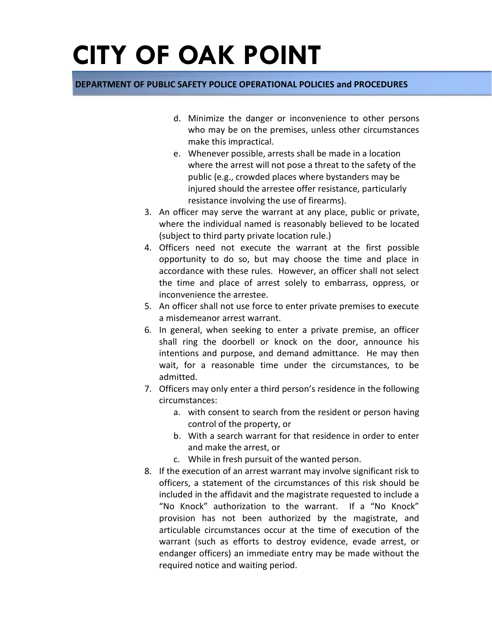- d. Minimize the danger or inconvenience to other persons who may be on the premises, unless other circumstances make this impractical.
- e. Whenever possible, arrests shall be made in a location where the arrest will not pose a threat to the safety of the public (e.g., crowded places where bystanders may be injured should the arrestee offer resistance, particularly resistance involving the use of firearms).
- 3. An officer may serve the warrant at any place, public or private, where the individual named is reasonably believed to be located (subject to third party private location rule.)
- 4. Officers need not execute the warrant at the first possible opportunity to do so, but may choose the time and place in accordance with these rules. However, an officer shall not select the time and place of arrest solely to embarrass, oppress, or inconvenience the arrestee.
- 5. An officer shall not use force to enter private premises to execute a misdemeanor arrest warrant.
- 6. In general, when seeking to enter a private premise, an officer shall ring the doorbell or knock on the door, announce his intentions and purpose, and demand admittance. He may then wait, for a reasonable time under the circumstances, to be admitted.
- 7. Officers may only enter a third person's residence in the following circumstances:
	- a. with consent to search from the resident or person having control of the property, or
	- b. With a search warrant for that residence in order to enter and make the arrest, or
	- c. While in fresh pursuit of the wanted person.
- 8. If the execution of an arrest warrant may involve significant risk to officers, a statement of the circumstances of this risk should be included in the affidavit and the magistrate requested to include a "No Knock" authorization to the warrant. If a "No Knock" provision has not been authorized by the magistrate, and articulable circumstances occur at the time of execution of the warrant (such as efforts to destroy evidence, evade arrest, or endanger officers) an immediate entry may be made without the required notice and waiting period.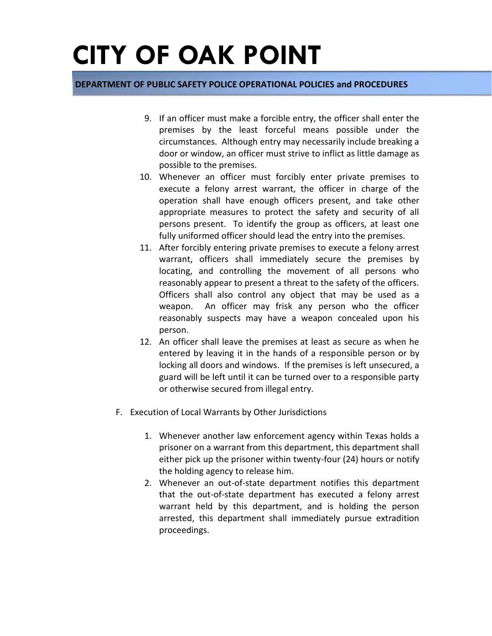- 9. If an officer must make a forcible entry, the officer shall enter the premises by the least forceful means possible under the circumstances. Although entry may necessarily include breaking a door or window, an officer must strive to inflict as little damage as possible to the premises.
- 10. Whenever an officer must forcibly enter private premises to execute a felony arrest warrant, the officer in charge of the operation shall have enough officers present, and take other appropriate measures to protect the safety and security of all persons present. To identify the group as officers, at least one fully uniformed officer should lead the entry into the premises.
- 11. After forcibly entering private premises to execute a felony arrest warrant, officers shall immediately secure the premises by locating, and controlling the movement of all persons who reasonably appear to present a threat to the safety of the officers. Officers shall also control any object that may be used as a weapon. An officer may frisk any person who the officer reasonably suspects may have a weapon concealed upon his person.
- 12. An officer shall leave the premises at least as secure as when he entered by leaving it in the hands of a responsible person or by locking all doors and windows. If the premises is left unsecured, a guard will be left until it can be turned over to a responsible party or otherwise secured from illegal entry.
- F. Execution of Local Warrants by Other Jurisdictions
	- 1. Whenever another law enforcement agency within Texas holds a prisoner on a warrant from this department, this department shall either pick up the prisoner within twenty-four (24) hours or notify the holding agency to release him.
	- 2. Whenever an out-of-state department notifies this department that the out-of-state department has executed a felony arrest warrant held by this department, and is holding the person arrested, this department shall immediately pursue extradition proceedings.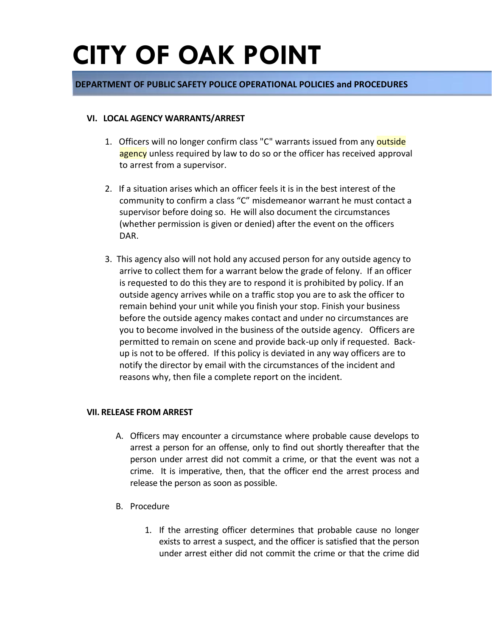### **DEPARTMENT OF PUBLIC SAFETY POLICE OPERATIONAL POLICIES and PROCEDURES**

#### **VI. LOCAL AGENCY WARRANTS/ARREST**

- 1. Officers will no longer confirm class "C" warrants issued from any outside agency unless required by law to do so or the officer has received approval to arrest from a supervisor.
- 2. If a situation arises which an officer feels it is in the best interest of the community to confirm a class "C" misdemeanor warrant he must contact a supervisor before doing so. He will also document the circumstances (whether permission is given or denied) after the event on the officers DAR.
- 3. This agency also will not hold any accused person for any outside agency to arrive to collect them for a warrant below the grade of felony. If an officer is requested to do this they are to respond it is prohibited by policy. If an outside agency arrives while on a traffic stop you are to ask the officer to remain behind your unit while you finish your stop. Finish your business before the outside agency makes contact and under no circumstances are you to become involved in the business of the outside agency. Officers are permitted to remain on scene and provide back-up only if requested. Backup is not to be offered. If this policy is deviated in any way officers are to notify the director by email with the circumstances of the incident and reasons why, then file a complete report on the incident.

#### **VII. RELEASE FROM ARREST**

- A. Officers may encounter a circumstance where probable cause develops to arrest a person for an offense, only to find out shortly thereafter that the person under arrest did not commit a crime, or that the event was not a crime. It is imperative, then, that the officer end the arrest process and release the person as soon as possible.
- B. Procedure
	- 1. If the arresting officer determines that probable cause no longer exists to arrest a suspect, and the officer is satisfied that the person under arrest either did not commit the crime or that the crime did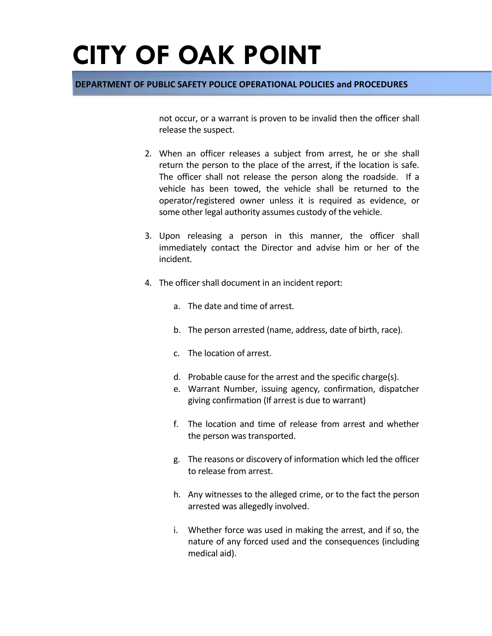### **DEPARTMENT OF PUBLIC SAFETY POLICE OPERATIONAL POLICIES and PROCEDURES**

not occur, or a warrant is proven to be invalid then the officer shall release the suspect.

- 2. When an officer releases a subject from arrest, he or she shall return the person to the place of the arrest, if the location is safe. The officer shall not release the person along the roadside. If a vehicle has been towed, the vehicle shall be returned to the operator/registered owner unless it is required as evidence, or some other legal authority assumes custody of the vehicle.
- 3. Upon releasing a person in this manner, the officer shall immediately contact the Director and advise him or her of the incident.
- 4. The officer shall document in an incident report:
	- a. The date and time of arrest.
	- b. The person arrested (name, address, date of birth, race).
	- c. The location of arrest.
	- d. Probable cause for the arrest and the specific charge(s).
	- e. Warrant Number, issuing agency, confirmation, dispatcher giving confirmation (If arrest is due to warrant)
	- f. The location and time of release from arrest and whether the person was transported.
	- g. The reasons or discovery of information which led the officer to release from arrest.
	- h. Any witnesses to the alleged crime, or to the fact the person arrested was allegedly involved.
	- i. Whether force was used in making the arrest, and if so, the nature of any forced used and the consequences (including medical aid).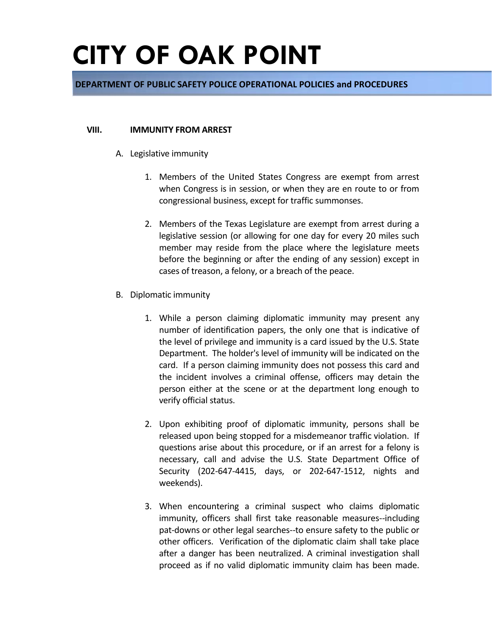### **DEPARTMENT OF PUBLIC SAFETY POLICE OPERATIONAL POLICIES and PROCEDURES**

#### **VIII. IMMUNITY FROM ARREST**

- A. Legislative immunity
	- 1. Members of the United States Congress are exempt from arrest when Congress is in session, or when they are en route to or from congressional business, except for traffic summonses.
	- 2. Members of the Texas Legislature are exempt from arrest during a legislative session (or allowing for one day for every 20 miles such member may reside from the place where the legislature meets before the beginning or after the ending of any session) except in cases of treason, a felony, or a breach of the peace.
- B. Diplomatic immunity
	- 1. While a person claiming diplomatic immunity may present any number of identification papers, the only one that is indicative of the level of privilege and immunity is a card issued by the U.S. State Department. The holder's level of immunity will be indicated on the card. If a person claiming immunity does not possess this card and the incident involves a criminal offense, officers may detain the person either at the scene or at the department long enough to verify official status.
	- 2. Upon exhibiting proof of diplomatic immunity, persons shall be released upon being stopped for a misdemeanor traffic violation. If questions arise about this procedure, or if an arrest for a felony is necessary, call and advise the U.S. State Department Office of Security (202-647-4415, days, or 202-647-1512, nights and weekends).
	- 3. When encountering a criminal suspect who claims diplomatic immunity, officers shall first take reasonable measures--including pat-downs or other legal searches--to ensure safety to the public or other officers. Verification of the diplomatic claim shall take place after a danger has been neutralized. A criminal investigation shall proceed as if no valid diplomatic immunity claim has been made.